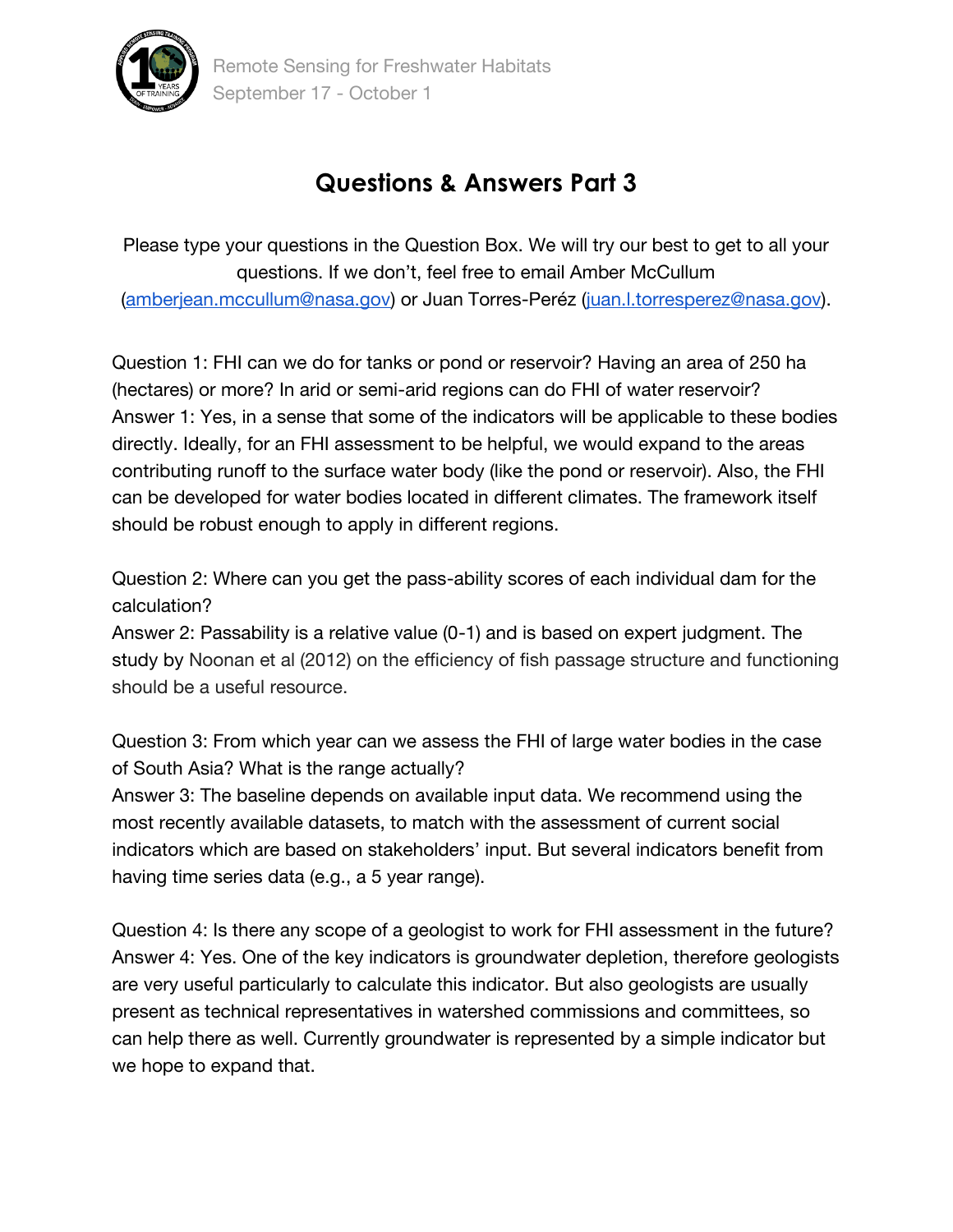

## **Questions & Answers Part 3**

Please type your questions in the Question Box. We will try our best to get to all your questions. If we don't, feel free to email Amber McCullum [\(amberjean.mccullum@nasa.gov\)](mailto:amberjean.mccullum@nasa.gov) or Juan Torres-Peréz [\(juan.l.torresperez@nasa.gov\)](mailto:juan.l.torresperez@nasa.gov).

Question 1: FHI can we do for tanks or pond or reservoir? Having an area of 250 ha (hectares) or more? In arid or semi-arid regions can do FHI of water reservoir? Answer 1: Yes, in a sense that some of the indicators will be applicable to these bodies directly. Ideally, for an FHI assessment to be helpful, we would expand to the areas contributing runoff to the surface water body (like the pond or reservoir). Also, the FHI can be developed for water bodies located in different climates. The framework itself should be robust enough to apply in different regions.

Question 2: Where can you get the pass-ability scores of each individual dam for the calculation?

Answer 2: Passability is a relative value (0-1) and is based on expert judgment. The study by Noonan et al (2012) on the efficiency of fish passage structure and functioning should be a useful resource.

Question 3: From which year can we assess the FHI of large water bodies in the case of South Asia? What is the range actually?

Answer 3: The baseline depends on available input data. We recommend using the most recently available datasets, to match with the assessment of current social indicators which are based on stakeholders' input. But several indicators benefit from having time series data (e.g., a 5 year range).

Question 4: Is there any scope of a geologist to work for FHI assessment in the future? Answer 4: Yes. One of the key indicators is groundwater depletion, therefore geologists are very useful particularly to calculate this indicator. But also geologists are usually present as technical representatives in watershed commissions and committees, so can help there as well. Currently groundwater is represented by a simple indicator but we hope to expand that.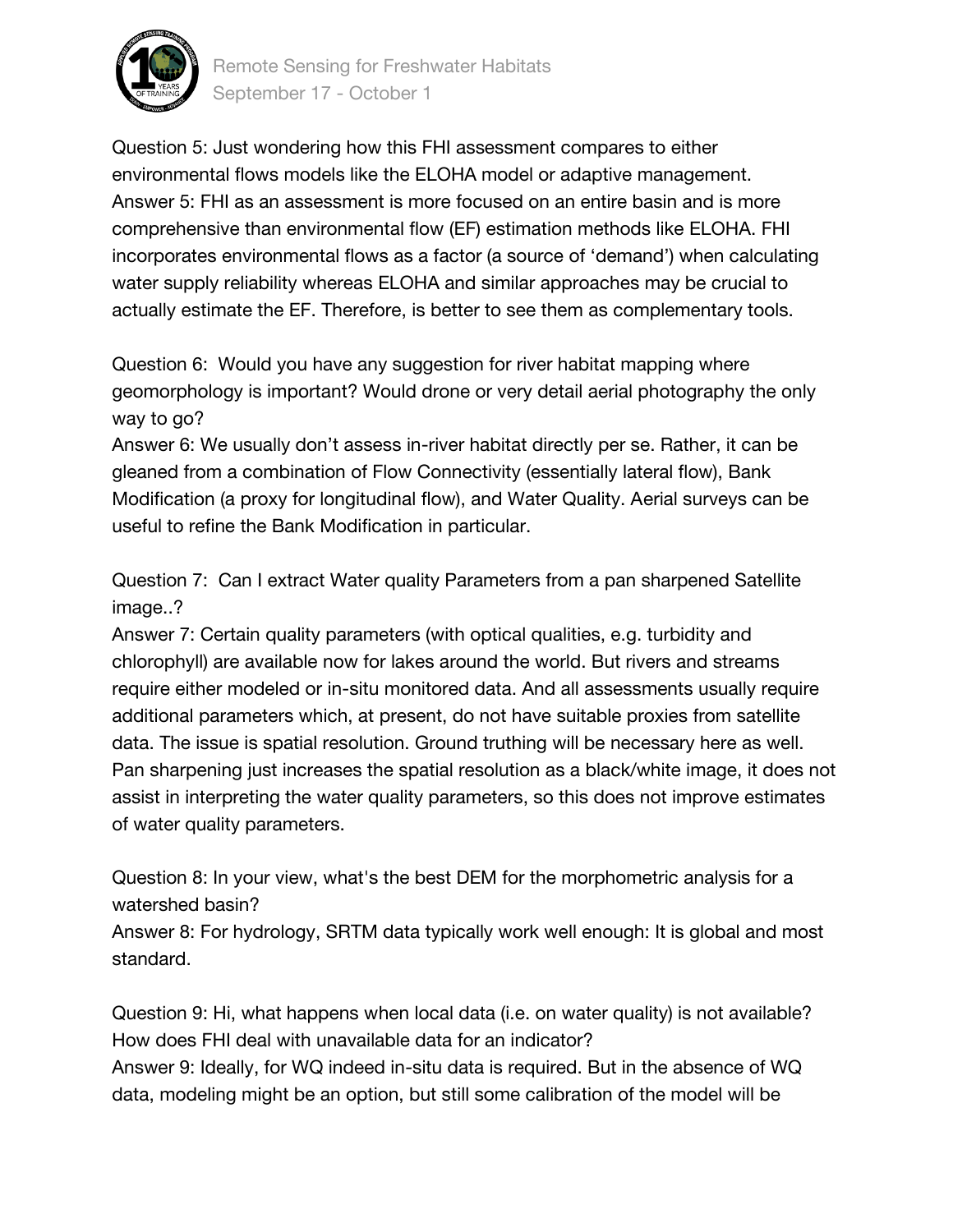

Remote Sensing for Freshwater Habitats September 17 - October 1

Question 5: Just wondering how this FHI assessment compares to either environmental flows models like the ELOHA model or adaptive management. Answer 5: FHI as an assessment is more focused on an entire basin and is more comprehensive than environmental flow (EF) estimation methods like ELOHA. FHI incorporates environmental flows as a factor (a source of 'demand') when calculating water supply reliability whereas ELOHA and similar approaches may be crucial to actually estimate the EF. Therefore, is better to see them as complementary tools.

Question 6: Would you have any suggestion for river habitat mapping where geomorphology is important? Would drone or very detail aerial photography the only way to go?

Answer 6: We usually don't assess in-river habitat directly per se. Rather, it can be gleaned from a combination of Flow Connectivity (essentially lateral flow), Bank Modification (a proxy for longitudinal flow), and Water Quality. Aerial surveys can be useful to refine the Bank Modification in particular.

Question 7: Can I extract Water quality Parameters from a pan sharpened Satellite image..?

Answer 7: Certain quality parameters (with optical qualities, e.g. turbidity and chlorophyll) are available now for lakes around the world. But rivers and streams require either modeled or in-situ monitored data. And all assessments usually require additional parameters which, at present, do not have suitable proxies from satellite data. The issue is spatial resolution. Ground truthing will be necessary here as well. Pan sharpening just increases the spatial resolution as a black/white image, it does not assist in interpreting the water quality parameters, so this does not improve estimates of water quality parameters.

Question 8: In your view, what's the best DEM for the morphometric analysis for a watershed basin?

Answer 8: For hydrology, SRTM data typically work well enough: It is global and most standard.

Question 9: Hi, what happens when local data (i.e. on water quality) is not available? How does FHI deal with unavailable data for an indicator? Answer 9: Ideally, for WQ indeed in-situ data is required. But in the absence of WQ data, modeling might be an option, but still some calibration of the model will be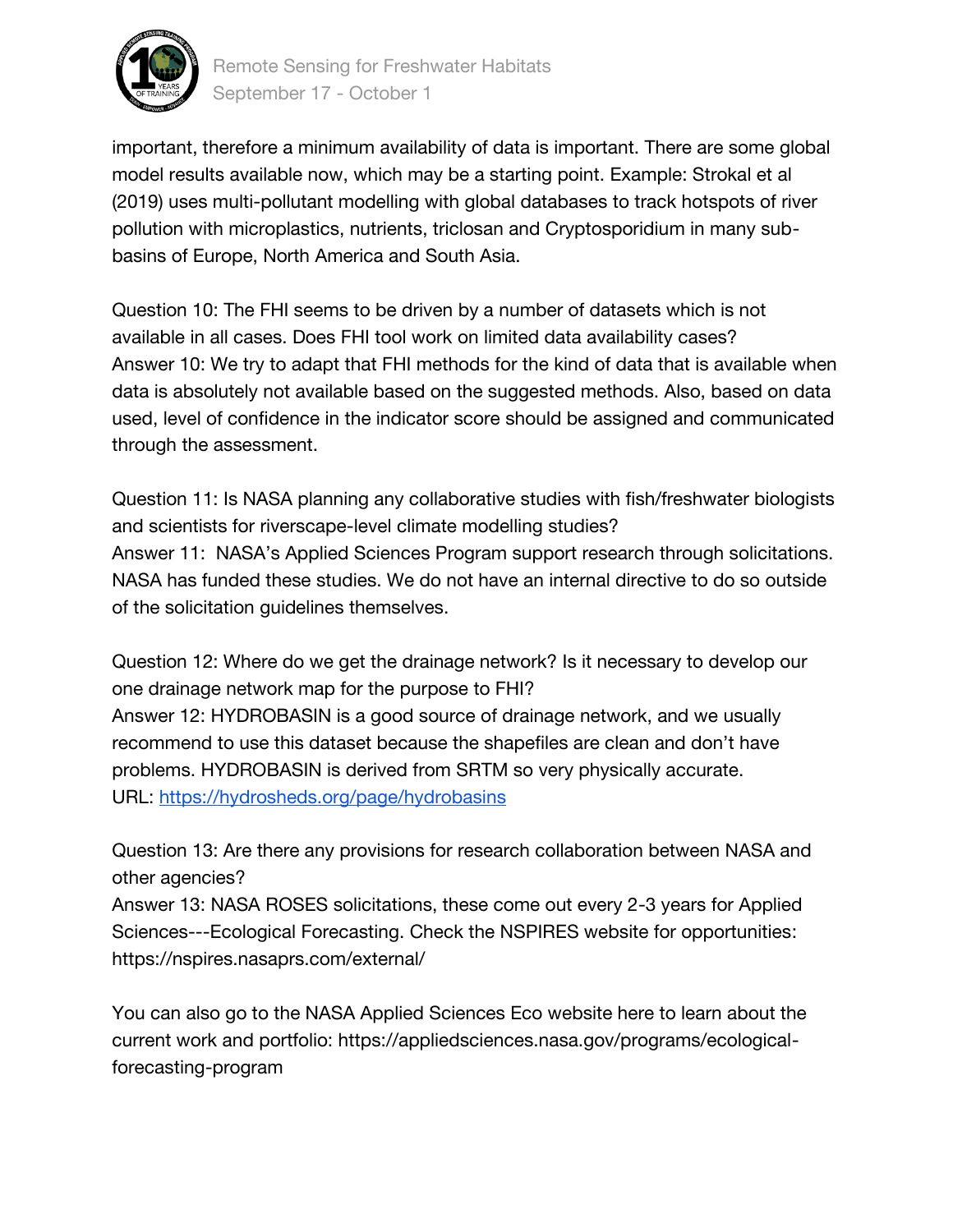

Remote Sensing for Freshwater Habitats September 17 - October 1

important, therefore a minimum availability of data is important. There are some global model results available now, which may be a starting point. Example: Strokal et al (2019) uses multi-pollutant modelling with global databases to track hotspots of river pollution with microplastics, nutrients, triclosan and Cryptosporidium in many subbasins of Europe, North America and South Asia.

Question 10: The FHI seems to be driven by a number of datasets which is not available in all cases. Does FHI tool work on limited data availability cases? Answer 10: We try to adapt that FHI methods for the kind of data that is available when data is absolutely not available based on the suggested methods. Also, based on data used, level of confidence in the indicator score should be assigned and communicated through the assessment.

Question 11: Is NASA planning any collaborative studies with fish/freshwater biologists and scientists for riverscape-level climate modelling studies? Answer 11: NASA's Applied Sciences Program support research through solicitations. NASA has funded these studies. We do not have an internal directive to do so outside of the solicitation guidelines themselves.

Question 12: Where do we get the drainage network? Is it necessary to develop our one drainage network map for the purpose to FHI? Answer 12: HYDROBASIN is a good source of drainage network, and we usually recommend to use this dataset because the shapefiles are clean and don't have problems. HYDROBASIN is derived from SRTM so very physically accurate. URL:<https://hydrosheds.org/page/hydrobasins>

Question 13: Are there any provisions for research collaboration between NASA and other agencies?

Answer 13: NASA ROSES solicitations, these come out every 2-3 years for Applied Sciences---Ecological Forecasting. Check the NSPIRES website for opportunities: https://nspires.nasaprs.com/external/

You can also go to the NASA Applied Sciences Eco website here to learn about the current work and portfolio: https://appliedsciences.nasa.gov/programs/ecologicalforecasting-program